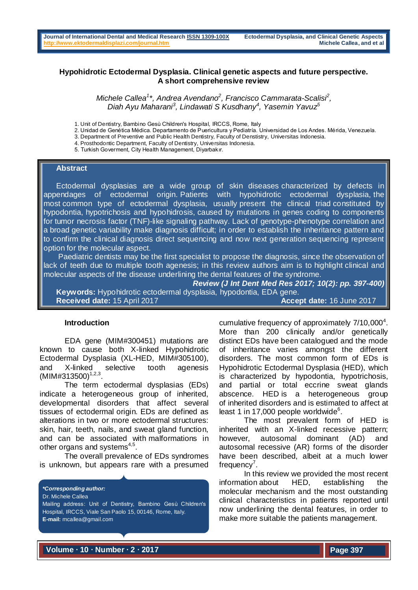## **Hypohidrotic Ectodermal Dysplasia. Clinical genetic aspects and future perspective. A short comprehensive review**

Michele Callea<sup>1</sup>\*, Andrea Avendano<sup>2</sup>, Francisco Cammarata-Scalisi<sup>2</sup>, *Diah Ayu Maharani<sup>3</sup> , Lindawati S Kusdhany<sup>4</sup> , Yasemin Yavuz<sup>5</sup>*

2. Unidad de Genética Médica. Departamento de Puericultura y Pediatría. Universidad de Los Andes. Mérida, Venezuela.

3. Department of Preventive and Public Health Dentistry, Faculty of Denstistry, Universitas Indonesia.

- 4. Prosthodontic Department, Faculty of Dentistry, Universitas Indonesia.
- 5. Turkish Goverment, City Health Management, Diyarbakır.

#### **Abstract**

 Ectodermal dysplasias are a wide group of skin diseases characterized by defects in appendages of ectodermal origin. Patients with hypohidrotic ectodermal dysplasia, the most common type of ectodermal dysplasia, usually present the clinical triad constituted by hypodontia, hypotrichosis and hypohidrosis, caused by mutations in genes coding to components for tumor necrosis factor (TNF)-like signaling pathway. Lack of genotype-phenotype correlation and a broad genetic variability make diagnosis difficult; in order to establish the inheritance pattern and to confirm the clinical diagnosis direct sequencing and now next generation sequencing represent option for the molecular aspect.

 Paediatric dentists may be the first specialist to propose the diagnosis, since the observation of lack of teeth due to multiple tooth agenesis; in this review authors aim is to highlight clinical and molecular aspects of the disease underlining the dental features of the syndrome.

*Review (J Int Dent Med Res 2017; 10(2): pp. 397-400)*   **Keywords:** Hypohidrotic ectodermal dysplasia, hypodontia, EDA gene. **Received date:** 15 April 2017 **Accept date:** 16 June 2017

#### **Introduction**

EDA gene (MIM#300451) mutations are known to cause both X-linked Hypohidrotic Ectodermal Dysplasia (XL-HED, MIM#305100), and X-linked selective tooth agenesis  $(MIM#313500)^{1,2,3}$ .

The term ectodermal dysplasias (EDs) indicate a heterogeneous group of inherited, developmental disorders that affect several tissues of ectodermal origin. EDs are defined as alterations in two or more ectodermal structures: skin, hair, teeth, nails, and sweat gland function, and can be associated with malformations in other organs and systems<sup>4,5</sup>.

The overall prevalence of EDs syndromes is unknown, but appears rare with a presumed

#### *\*Corresponding author:*

Dr. Michele Callea

Mailing address: Unit of Dentistry, Bambino Gesù Children's Hospital, IRCCS, Viale San Paolo 15, 00146, Rome, Italy. **E-mail:** [mcallea@gmail.com](mailto:mcallea@gmail.com)

cumulative frequency of approximately  $7/10,000^4$ . More than 200 clinically and/or genetically distinct EDs have been catalogued and the mode of inheritance varies amongst the different disorders. The most common form of EDs is Hypohidrotic Ectodermal Dysplasia (HED), which is characterized by hypodontia, hypotrichosis, and partial or total eccrine sweat glands abscence. HED is a heterogeneous group of inherited disorders and is estimated to affect at least 1 in 17,000 people worldwide<sup>6</sup>.

The most prevalent form of HED is inherited with an X-linked recessive pattern; however, autosomal dominant (AD) and autosomal recessive (AR) forms of the disorder have been described, albeit at a much lower frequency<sup>7</sup>.

In this review we provided the most recent information about HED, establishing the molecular mechanism and the most outstanding clinical characteristics in patients reported until now underlining the dental features, in order to make more suitable the patients management.

**Volume ∙ 10 ∙ Number ∙ 2 ∙ 2017**

<sup>1.</sup> Unit of Dentistry, Bambino Gesù Children's Hospital, IRCCS, Rome, Italy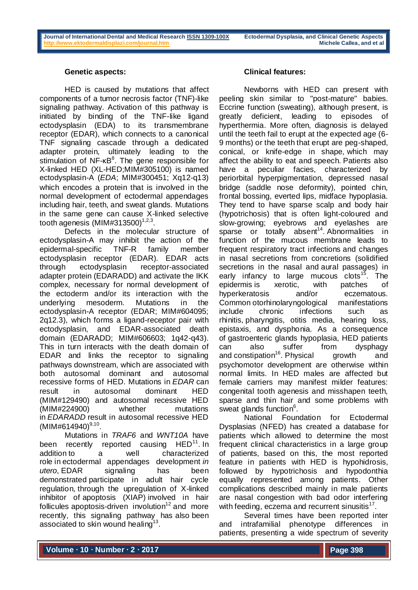#### **Genetic aspects:**

HED is caused by mutations that affect components of a tumor necrosis factor (TNF)-like signaling pathway. Activation of this pathway is initiated by binding of the TNF-like ligand ectodysplasin (EDA) to its transmembrane receptor (EDAR), which connects to a canonical TNF signaling cascade through a dedicated adapter protein, ultimately leading to the stimulation of NF-κB<sup>8</sup>. The gene responsible for X-linked HED (XL-HED;MIM#305100) is named ectodysplasin-A (*EDA*; MIM#300451; Xq12-q13) which encodes a protein that is involved in the normal development of ectodermal appendages including hair, teeth, and sweat glands. Mutations in the same gene can cause X-linked selective tooth agenesis (MIM#313500) $^{1,2,3}$ .

Defects in the molecular structure of ectodysplasin-A may inhibit the action of the epidermal-specific TNF-R family member ectodysplasin receptor (EDAR). EDAR acts through ectodysplasin receptor-associated adapter protein (EDARADD) and activate the IKK complex, necessary for normal development of the ectoderm and/or its interaction with the underlying mesoderm. Mutations in the ectodysplasin-A receptor (EDAR; MIM#604095; 2q12.3), which forms a ligand-receptor pair with ectodysplasin, and EDAR-associated death domain (EDARADD; MIM#606603; 1q42-q43). This in turn interacts with the death domain of EDAR and links the receptor to signaling pathways downstream, which are associated with both autosomal dominant and autosomal recessive forms of HED. Mutations in *EDAR* can result in autosomal dominant HED (MIM#129490) and autosomal recessive HED (MIM#224900) whether mutations in *EDARADD* result in autosomal recessive HED  $(MIM#614940)^{9,10}$ .

Mutations in *TRAF6* and *WNT10A* have been recently reported causing HED<sup>11</sup>. In addition to a well characterized role in ectodermal appendages development *in utero*, EDAR signaling has been demonstrated participate in adult hair cycle regulation, through the upregulation of X-linked inhibitor of apoptosis (XIAP) involved in hair follicules apoptosis-driven involution<sup>12</sup> and more recently, this signaling pathway has also been associated to skin wound healing $^{13}$ .

#### **Clinical features:**

Newborns with HED can present with peeling skin similar to "post-mature" babies. Eccrine function (sweating), although present, is greatly deficient, leading to episodes of hyperthermia. More often, diagnosis is delayed until the teeth fail to erupt at the expected age (6- 9 months) or the teeth that erupt are peg-shaped, conical, or knife-edge in shape, which may affect the ability to eat and speech. Patients also have a peculiar facies, characterized by periorbital hyperpigmentation, depressed nasal bridge (saddle nose deformity), pointed chin, frontal bossing, everted lips, midface hypoplasia. They tend to have sparse scalp and body hair (hypotrichosis) that is often light-coloured and slow-growing; eyebrows and eyelashes are sparse or totally absent<sup>14</sup>. Abnormalities in function of the mucous membrane leads to frequent respiratory tract infections and changes in nasal secretions from concretions (solidified secretions in the nasal and aural passages) in early infancy to large mucous clots<sup>15</sup>. The epidermis is xerotic, with patches of hyperkeratosis and/or eczematous. Common otorhinolaryngological manifestations include chronic infections such as rhinitis, pharyngitis, otitis media, hearing loss, epistaxis, and dysphonia. As a consequence of gastroenteric glands hypoplasia, HED patients can also suffer from dysphagy and constipation<sup>16</sup>. Physical growth and psychomotor development are otherwise within normal limits. In HED males are affected but female carriers may manifest milder features: congenital tooth agenesis and misshapen teeth, sparse and thin hair and some problems with sweat glands function<sup>6</sup>.

National Foundation for Ectodermal Dysplasias (NFED) has created a database for patients which allowed to determine the most frequent clinical characteristics in a large group of patients, based on this, the most reported feature in patients with HED is hypohidrosis, followed by hypotrichosis and hypodonthia equally represented among patients. Other complications described mainly in male patients are nasal congestion with bad odor interfering with feeding, eczema and recurrent sinusitis $17$ .

Several times have been reported inter and intrafamilial phenotype differences in patients, presenting a wide spectrum of severity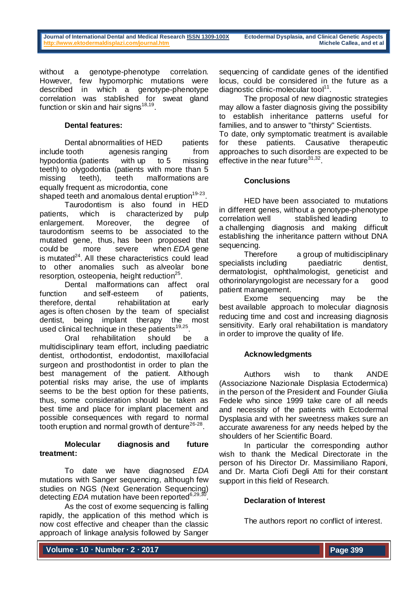without a genotype-phenotype correlation. However, few hypomorphic mutations were described in which a genotype-phenotype correlation was stablished for sweat gland function or skin and hair signs $^{18,19}$ .

## **Dental features:**

Dental abnormalities of HED patients include tooth agenesis ranging from hypodontia (patients with up to 5 missing teeth) to olygodontia (patients with more than 5 missing teeth), teeth malformations are equally frequent as microdontia, cone shaped teeth and anomalous dental eruption<sup>19-23</sup>.

Taurodontism is also found in HED patients, which is characterized by pulp enlargement. Moreover, the degree of taurodontism seems to be associated to the mutated gene, thus, has been proposed that could be more severe when *EDA* gene is mutated $^{24}$ . All these characteristics could lead to other anomalies such as alveolar bone resorption, osteopenia, height reduction<sup>25</sup>.

Dental malformations can affect oral function and self-esteem of patients, therefore, dental rehabilitation at early ages is often chosen by the team of specialist dentist, being implant therapy the most used clinical technique in these patients<sup>19,25</sup>.

Oral rehabilitation should be a multidisciplinary team effort, including paediatric dentist, orthodontist, endodontist, maxillofacial surgeon and prosthodontist in order to plan the best management of the patient. Although potential risks may arise, the use of implants seems to be the best option for these patients, thus, some consideration should be taken as best time and place for implant placement and possible consequences with regard to normal tooth eruption and normal growth of denture<sup>26-28</sup>.

### **Molecular diagnosis and future treatment:**

To date we have diagnosed *EDA* mutations with Sanger sequencing, although few studies on NGS (Next Generation Sequencing) detecting *EDA* mutation have been reported<sup>6,29,30</sup> .

As the cost of exome sequencing is falling rapidly, the application of this method which is now cost effective and cheaper than the classic approach of linkage analysis followed by Sanger

sequencing of candidate genes of the identified locus, could be considered in the future as a diagnostic clinic-molecular tool $11$ .

The proposal of new diagnostic strategies may allow a faster diagnosis giving the possibility to establish inheritance patterns useful for families, and to answer to "thirsty" Scientists.

To date, only symptomatic treatment is available for these patients. Causative therapeutic approaches to such disorders are expected to be effective in the near future $31,32$ .

## **Conclusions**

HED have been associated to mutations in different genes, without a genotype-phenotype correlation well stablished leading to a challenging diagnosis and making difficult establishing the inheritance pattern without DNA sequencing.

Therefore a group of multidisciplinary specialists including baediatric dentist, dermatologist, ophthalmologist, geneticist and othorinolaryngologist are necessary for a good patient management.

Exome sequencing may be the best available approach to molecular diagnosis reducing time and cost and increasing diagnosis sensitivity. Early oral rehabilitation is mandatory in order to improve the quality of life.

# **Acknowledgments**

Authors wish to thank ANDE (Associazione Nazionale Displasia Ectodermica) in the person of the President and Founder Giulia Fedele who since 1999 take care of all needs and necessity of the patients with Ectodermal Dysplasia and with her sweetness makes sure an accurate awareness for any needs helped by the shoulders of her Scientific Board.

In particular the corresponding author wish to thank the Medical Directorate in the person of his Director Dr. Massimiliano Raponi, and Dr. Marta Ciofi Degli Atti for their constant support in this field of Research.

# **Declaration of Interest**

The authors report no conflict of interest.

**Volume ∙ 10 ∙ Number ∙ 2 ∙ 2017**